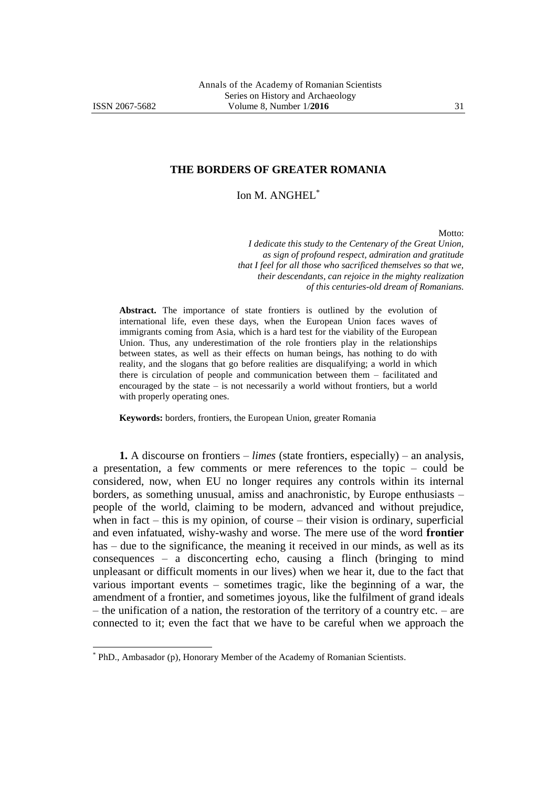-

## **THE BORDERS OF GREATER ROMANIA**

Ion M. ANGHEL\*

Motto:

*I dedicate this study to the Centenary of the Great Union, as sign of profound respect, admiration and gratitude that I feel for all those who sacrificed themselves so that we, their descendants, can rejoice in the mighty realization of this centuries-old dream of Romanians.*

**Abstract.** The importance of state frontiers is outlined by the evolution of international life, even these days, when the European Union faces waves of immigrants coming from Asia, which is a hard test for the viability of the European Union. Thus, any underestimation of the role frontiers play in the relationships between states, as well as their effects on human beings, has nothing to do with reality, and the slogans that go before realities are disqualifying; a world in which there is circulation of people and communication between them – facilitated and encouraged by the state – is not necessarily a world without frontiers, but a world with properly operating ones.

**Keywords:** borders, frontiers, the European Union, greater Romania

**1.** A discourse on frontiers – *limes* (state frontiers, especially) – an analysis, a presentation, a few comments or mere references to the topic – could be considered, now, when EU no longer requires any controls within its internal borders, as something unusual, amiss and anachronistic, by Europe enthusiasts – people of the world, claiming to be modern, advanced and without prejudice, when in fact – this is my opinion, of course – their vision is ordinary, superficial and even infatuated, wishy-washy and worse. The mere use of the word **frontier**  has – due to the significance, the meaning it received in our minds, as well as its consequences – a disconcerting echo, causing a flinch (bringing to mind unpleasant or difficult moments in our lives) when we hear it, due to the fact that various important events – sometimes tragic, like the beginning of a war, the amendment of a frontier, and sometimes joyous, like the fulfilment of grand ideals – the unification of a nation, the restoration of the territory of a country etc. – are connected to it; even the fact that we have to be careful when we approach the

<sup>\*</sup> PhD., Ambasador (p), Honorary Member of the Academy of Romanian Scientists.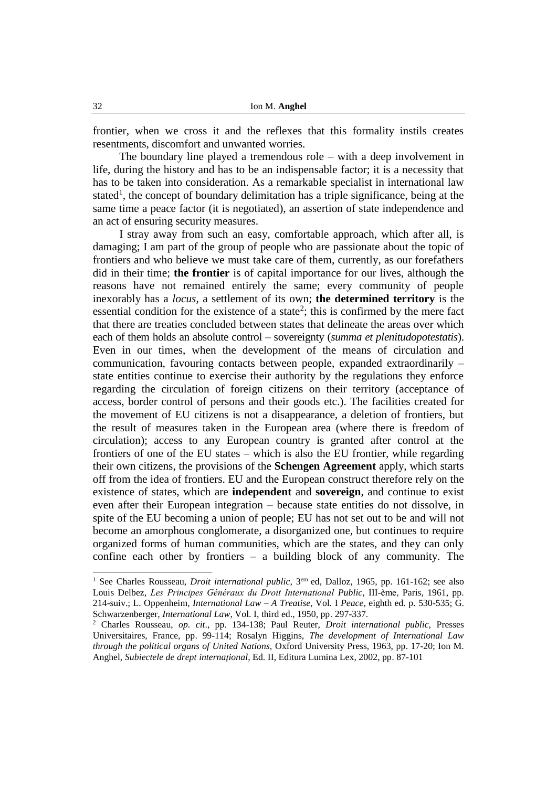frontier, when we cross it and the reflexes that this formality instils creates resentments, discomfort and unwanted worries.

The boundary line played a tremendous role – with a deep involvement in life, during the history and has to be an indispensable factor; it is a necessity that has to be taken into consideration. As a remarkable specialist in international law stated<sup>1</sup>, the concept of boundary delimitation has a triple significance, being at the same time a peace factor (it is negotiated), an assertion of state independence and an act of ensuring security measures.

I stray away from such an easy, comfortable approach, which after all, is damaging; I am part of the group of people who are passionate about the topic of frontiers and who believe we must take care of them, currently, as our forefathers did in their time; **the frontier** is of capital importance for our lives, although the reasons have not remained entirely the same; every community of people inexorably has a *locus,* a settlement of its own; **the determined territory** is the essential condition for the existence of a state<sup>2</sup>; this is confirmed by the mere fact that there are treaties concluded between states that delineate the areas over which each of them holds an absolute control – sovereignty (*summa et plenitudopotestatis*). Even in our times, when the development of the means of circulation and communication, favouring contacts between people, expanded extraordinarily – state entities continue to exercise their authority by the regulations they enforce regarding the circulation of foreign citizens on their territory (acceptance of access, border control of persons and their goods etc.). The facilities created for the movement of EU citizens is not a disappearance, a deletion of frontiers, but the result of measures taken in the European area (where there is freedom of circulation); access to any European country is granted after control at the frontiers of one of the EU states – which is also the EU frontier, while regarding their own citizens, the provisions of the **Schengen Agreement** apply, which starts off from the idea of frontiers. EU and the European construct therefore rely on the existence of states, which are **independent** and **sovereign**, and continue to exist even after their European integration – because state entities do not dissolve, in spite of the EU becoming a union of people; EU has not set out to be and will not become an amorphous conglomerate, a disorganized one, but continues to require organized forms of human communities, which are the states, and they can only confine each other by frontiers – a building block of any community. The

<sup>&</sup>lt;sup>1</sup> See Charles Rousseau, *Droit international public*, 3<sup>em</sup> ed, Dalloz, 1965, pp. 161-162; see also Louis Delbez, *Les Principes Généraux du Droit International Public,* III-ème, Paris, 1961, pp. 214-suiv.; L. Oppenheim*, International Law – A Treatise,* Vol. I *Peace*, eighth ed. p. 530-535; G. Schwarzenberger, *International Law*, Vol. I, third ed., 1950, pp. 297-337.

<sup>2</sup> Charles Rousseau, *op. cit*., pp. 134-138; Paul Reuter, *Droit international public,* Presses Universitaires, France, pp. 99-114; Rosalyn Higgins, *The development of International Law through the political organs of United Nations,* Oxford University Press, 1963, pp. 17-20; Ion M. Anghel, *Subiectele de drept internaţional*, Ed. II, Editura Lumina Lex, 2002, pp. 87-101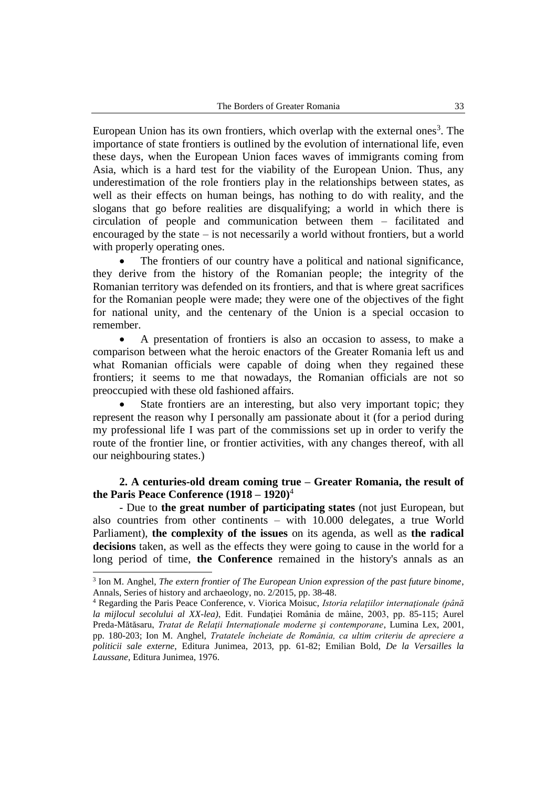European Union has its own frontiers, which overlap with the external ones<sup>3</sup>. The importance of state frontiers is outlined by the evolution of international life, even these days, when the European Union faces waves of immigrants coming from Asia, which is a hard test for the viability of the European Union. Thus, any underestimation of the role frontiers play in the relationships between states, as well as their effects on human beings, has nothing to do with reality, and the slogans that go before realities are disqualifying; a world in which there is circulation of people and communication between them – facilitated and encouraged by the state – is not necessarily a world without frontiers, but a world with properly operating ones.

 The frontiers of our country have a political and national significance, they derive from the history of the Romanian people; the integrity of the Romanian territory was defended on its frontiers, and that is where great sacrifices for the Romanian people were made; they were one of the objectives of the fight for national unity, and the centenary of the Union is a special occasion to remember.

 A presentation of frontiers is also an occasion to assess, to make a comparison between what the heroic enactors of the Greater Romania left us and what Romanian officials were capable of doing when they regained these frontiers; it seems to me that nowadays, the Romanian officials are not so preoccupied with these old fashioned affairs.

 State frontiers are an interesting, but also very important topic; they represent the reason why I personally am passionate about it (for a period during my professional life I was part of the commissions set up in order to verify the route of the frontier line, or frontier activities, with any changes thereof, with all our neighbouring states.)

## **2. A centuries-old dream coming true – Greater Romania, the result of the Paris Peace Conference (1918 – 1920)**<sup>4</sup>

- Due to **the great number of participating states** (not just European, but also countries from other continents – with 10.000 delegates, a true World Parliament), **the complexity of the issues** on its agenda, as well as **the radical decisions** taken, as well as the effects they were going to cause in the world for a long period of time, **the Conference** remained in the history's annals as an

<sup>3</sup> Ion M. Anghel, *The extern frontier of The European Union expression of the past future binome*, Annals, Series of history and archaeology, no. 2/2015, pp. 38-48.

<sup>4</sup> Regarding the Paris Peace Conference, v. Viorica Moisuc, *Istoria relaţiilor internaţionale (până la mijlocul secolului al XX-lea)*, Edit. Fundaţiei România de mâine, 2003, pp. 85-115; Aurel Preda-Mătăsaru, *Tratat de Relaţii Internaţionale moderne şi contemporane*, Lumina Lex, 2001, pp. 180-203; Ion M. Anghel, *Tratatele încheiate de România, ca ultim criteriu de apreciere a politicii sale externe*, Editura Junimea, 2013, pp. 61-82; Emilian Bold, *De la Versailles la Laussane*, Editura Junimea, 1976.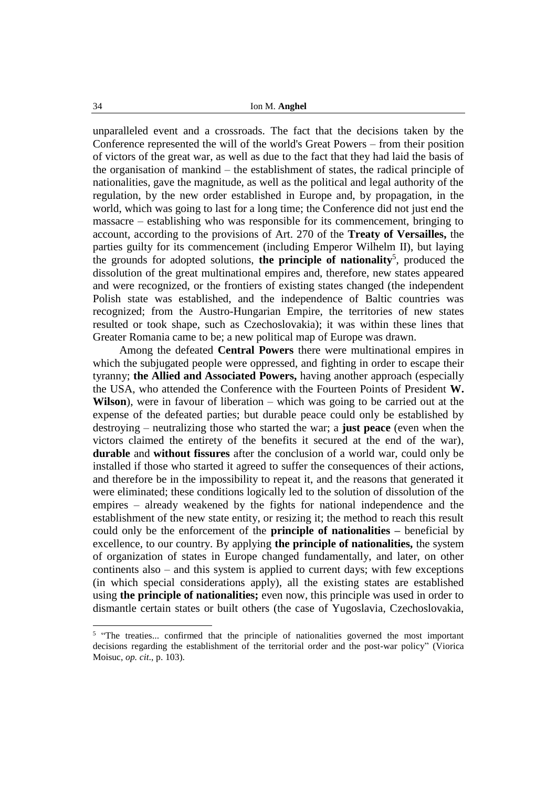unparalleled event and a crossroads. The fact that the decisions taken by the Conference represented the will of the world's Great Powers – from their position of victors of the great war, as well as due to the fact that they had laid the basis of the organisation of mankind – the establishment of states, the radical principle of nationalities, gave the magnitude, as well as the political and legal authority of the regulation, by the new order established in Europe and, by propagation, in the world, which was going to last for a long time; the Conference did not just end the massacre – establishing who was responsible for its commencement, bringing to account, according to the provisions of Art. 270 of the **Treaty of Versailles,** the parties guilty for its commencement (including Emperor Wilhelm II), but laying the grounds for adopted solutions, **the principle of nationality**<sup>5</sup>, produced the dissolution of the great multinational empires and, therefore, new states appeared and were recognized, or the frontiers of existing states changed (the independent Polish state was established, and the independence of Baltic countries was recognized; from the Austro-Hungarian Empire, the territories of new states resulted or took shape, such as Czechoslovakia); it was within these lines that Greater Romania came to be; a new political map of Europe was drawn.

Among the defeated **Central Powers** there were multinational empires in which the subjugated people were oppressed, and fighting in order to escape their tyranny; **the Allied and Associated Powers,** having another approach (especially the USA, who attended the Conference with the Fourteen Points of President **W. Wilson**), were in favour of liberation – which was going to be carried out at the expense of the defeated parties; but durable peace could only be established by destroying – neutralizing those who started the war; a **just peace** (even when the victors claimed the entirety of the benefits it secured at the end of the war), **durable** and **without fissures** after the conclusion of a world war, could only be installed if those who started it agreed to suffer the consequences of their actions, and therefore be in the impossibility to repeat it, and the reasons that generated it were eliminated; these conditions logically led to the solution of dissolution of the empires – already weakened by the fights for national independence and the establishment of the new state entity, or resizing it; the method to reach this result could only be the enforcement of the **principle of nationalities –** beneficial by excellence, to our country. By applying **the principle of nationalities,** the system of organization of states in Europe changed fundamentally, and later, on other continents also – and this system is applied to current days; with few exceptions (in which special considerations apply), all the existing states are established using **the principle of nationalities;** even now, this principle was used in order to dismantle certain states or built others (the case of Yugoslavia, Czechoslovakia,

<sup>&</sup>lt;sup>5</sup> "The treaties... confirmed that the principle of nationalities governed the most important decisions regarding the establishment of the territorial order and the post-war policy" (Viorica Moisuc, *op. cit*., p. 103).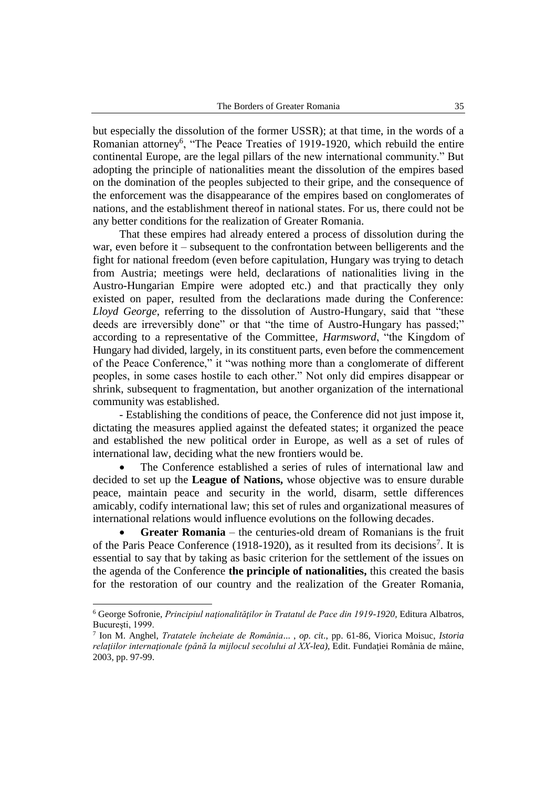but especially the dissolution of the former USSR); at that time, in the words of a Romanian attorney<sup>6</sup>, "The Peace Treaties of 1919-1920, which rebuild the entire continental Europe, are the legal pillars of the new international community." But adopting the principle of nationalities meant the dissolution of the empires based on the domination of the peoples subjected to their gripe, and the consequence of the enforcement was the disappearance of the empires based on conglomerates of nations, and the establishment thereof in national states. For us, there could not be any better conditions for the realization of Greater Romania.

That these empires had already entered a process of dissolution during the war, even before it – subsequent to the confrontation between belligerents and the fight for national freedom (even before capitulation, Hungary was trying to detach from Austria; meetings were held, declarations of nationalities living in the Austro-Hungarian Empire were adopted etc.) and that practically they only existed on paper, resulted from the declarations made during the Conference: *Lloyd George*, referring to the dissolution of Austro-Hungary, said that "these deeds are irreversibly done" or that "the time of Austro-Hungary has passed;" according to a representative of the Committee*, Harmsword*, "the Kingdom of Hungary had divided, largely, in its constituent parts, even before the commencement of the Peace Conference," it "was nothing more than a conglomerate of different peoples, in some cases hostile to each other." Not only did empires disappear or shrink, subsequent to fragmentation, but another organization of the international community was established.

- Establishing the conditions of peace, the Conference did not just impose it, dictating the measures applied against the defeated states; it organized the peace and established the new political order in Europe, as well as a set of rules of international law, deciding what the new frontiers would be.

 The Conference established a series of rules of international law and decided to set up the **League of Nations,** whose objective was to ensure durable peace, maintain peace and security in the world, disarm, settle differences amicably, codify international law; this set of rules and organizational measures of international relations would influence evolutions on the following decades.

 **Greater Romania** – the centuries-old dream of Romanians is the fruit of the Paris Peace Conference (1918-1920), as it resulted from its decisions<sup>7</sup>. It is essential to say that by taking as basic criterion for the settlement of the issues on the agenda of the Conference **the principle of nationalities,** this created the basis for the restoration of our country and the realization of the Greater Romania,

<sup>6</sup> George Sofronie, *Principiul naţionalităţilor în Tratatul de Pace din 1919-1920,* Editura Albatros, Bucureşti, 1999.

<sup>7</sup> Ion M. Anghel, *Tratatele încheiate de România*... , *op. cit*., pp. 61-86, Viorica Moisuc, *Istoria relaţiilor internaţionale (până la mijlocul secolului al XX-lea)*, Edit. Fundaţiei România de mâine, 2003, pp. 97-99.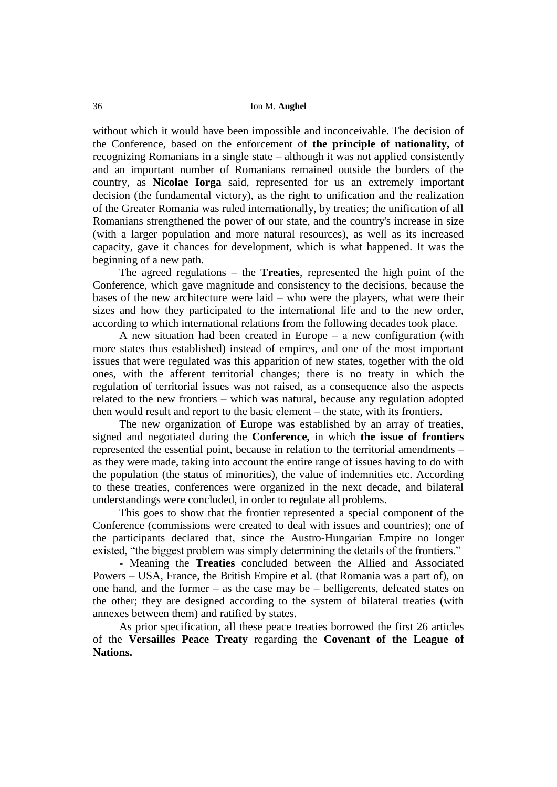without which it would have been impossible and inconceivable. The decision of the Conference, based on the enforcement of **the principle of nationality,** of recognizing Romanians in a single state – although it was not applied consistently and an important number of Romanians remained outside the borders of the country, as **Nicolae Iorga** said, represented for us an extremely important decision (the fundamental victory), as the right to unification and the realization of the Greater Romania was ruled internationally, by treaties; the unification of all Romanians strengthened the power of our state, and the country's increase in size (with a larger population and more natural resources), as well as its increased capacity, gave it chances for development, which is what happened. It was the beginning of a new path.

The agreed regulations – the **Treaties**, represented the high point of the Conference, which gave magnitude and consistency to the decisions, because the bases of the new architecture were laid – who were the players, what were their sizes and how they participated to the international life and to the new order, according to which international relations from the following decades took place.

A new situation had been created in Europe – a new configuration (with more states thus established) instead of empires, and one of the most important issues that were regulated was this apparition of new states, together with the old ones, with the afferent territorial changes; there is no treaty in which the regulation of territorial issues was not raised, as a consequence also the aspects related to the new frontiers – which was natural, because any regulation adopted then would result and report to the basic element – the state, with its frontiers.

The new organization of Europe was established by an array of treaties, signed and negotiated during the **Conference,** in which **the issue of frontiers**  represented the essential point, because in relation to the territorial amendments – as they were made, taking into account the entire range of issues having to do with the population (the status of minorities), the value of indemnities etc. According to these treaties, conferences were organized in the next decade, and bilateral understandings were concluded, in order to regulate all problems.

This goes to show that the frontier represented a special component of the Conference (commissions were created to deal with issues and countries); one of the participants declared that, since the Austro-Hungarian Empire no longer existed, "the biggest problem was simply determining the details of the frontiers."

- Meaning the **Treaties** concluded between the Allied and Associated Powers – USA, France, the British Empire et al. (that Romania was a part of), on one hand, and the former – as the case may be – belligerents, defeated states on the other; they are designed according to the system of bilateral treaties (with annexes between them) and ratified by states.

As prior specification, all these peace treaties borrowed the first 26 articles of the **Versailles Peace Treaty** regarding the **Covenant of the League of Nations.**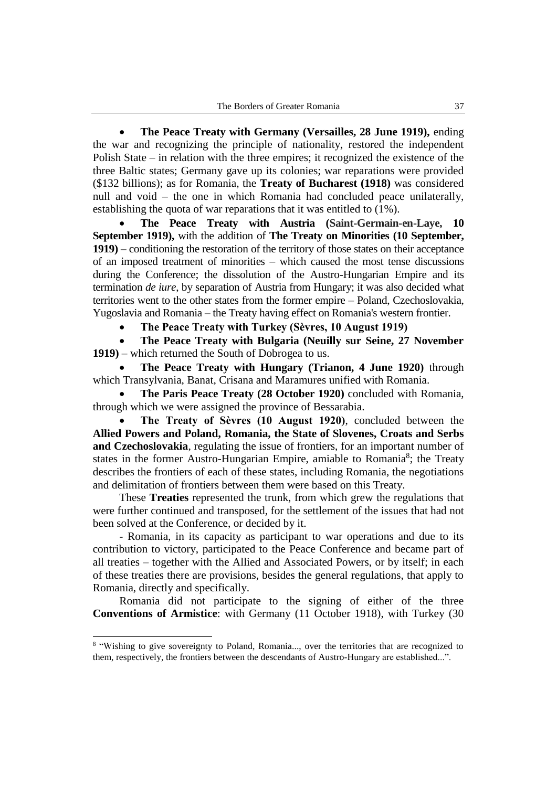**The Peace Treaty with Germany (Versailles, 28 June 1919),** ending the war and recognizing the principle of nationality, restored the independent Polish State – in relation with the three empires; it recognized the existence of the three Baltic states; Germany gave up its colonies; war reparations were provided (\$132 billions); as for Romania, the **Treaty of Bucharest (1918)** was considered null and void – the one in which Romania had concluded peace unilaterally, establishing the quota of war reparations that it was entitled to (1%).

 **The Peace Treaty with Austria (Saint-Germain-en-Laye, 10 September 1919),** with the addition of **The Treaty on Minorities (10 September, 1919) –** conditioning the restoration of the territory of those states on their acceptance of an imposed treatment of minorities – which caused the most tense discussions during the Conference; the dissolution of the Austro-Hungarian Empire and its termination *de iure*, by separation of Austria from Hungary; it was also decided what territories went to the other states from the former empire – Poland, Czechoslovakia, Yugoslavia and Romania – the Treaty having effect on Romania's western frontier.

**The Peace Treaty with Turkey (Sèvres, 10 August 1919)**

 **The Peace Treaty with Bulgaria (Neuilly sur Seine, 27 November 1919)** – which returned the South of Dobrogea to us.

 **The Peace Treaty with Hungary (Trianon, 4 June 1920)** through which Transylvania, Banat, Crisana and Maramures unified with Romania.

 **The Paris Peace Treaty (28 October 1920)** concluded with Romania, through which we were assigned the province of Bessarabia.

 **The Treaty of Sèvres (10 August 1920)**, concluded between the **Allied Powers and Poland, Romania, the State of Slovenes, Croats and Serbs and Czechoslovakia**, regulating the issue of frontiers, for an important number of states in the former Austro-Hungarian Empire, amiable to Romania<sup>8</sup>; the Treaty describes the frontiers of each of these states, including Romania, the negotiations and delimitation of frontiers between them were based on this Treaty.

These **Treaties** represented the trunk, from which grew the regulations that were further continued and transposed, for the settlement of the issues that had not been solved at the Conference, or decided by it.

- Romania, in its capacity as participant to war operations and due to its contribution to victory, participated to the Peace Conference and became part of all treaties – together with the Allied and Associated Powers, or by itself; in each of these treaties there are provisions, besides the general regulations, that apply to Romania, directly and specifically.

Romania did not participate to the signing of either of the three **Conventions of Armistice**: with Germany (11 October 1918), with Turkey (30

<sup>&</sup>lt;sup>8</sup> "Wishing to give sovereignty to Poland, Romania..., over the territories that are recognized to them, respectively, the frontiers between the descendants of Austro-Hungary are established...".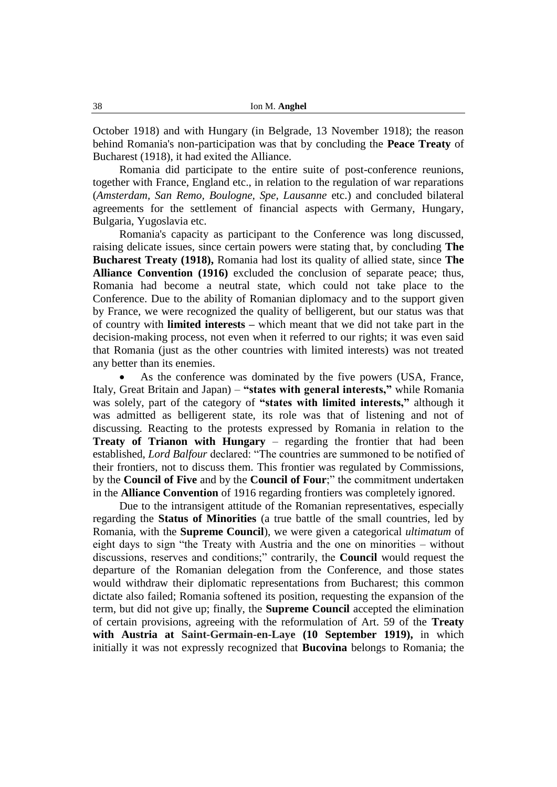October 1918) and with Hungary (in Belgrade, 13 November 1918); the reason behind Romania's non-participation was that by concluding the **Peace Treaty** of Bucharest (1918), it had exited the Alliance.

Romania did participate to the entire suite of post-conference reunions, together with France, England etc., in relation to the regulation of war reparations (*Amsterdam, San Remo, Boulogne, Spe, Lausanne* etc.) and concluded bilateral agreements for the settlement of financial aspects with Germany, Hungary, Bulgaria, Yugoslavia etc.

Romania's capacity as participant to the Conference was long discussed, raising delicate issues, since certain powers were stating that, by concluding **The Bucharest Treaty (1918),** Romania had lost its quality of allied state, since **The Alliance Convention (1916)** excluded the conclusion of separate peace; thus, Romania had become a neutral state, which could not take place to the Conference. Due to the ability of Romanian diplomacy and to the support given by France, we were recognized the quality of belligerent, but our status was that of country with **limited interests –** which meant that we did not take part in the decision-making process, not even when it referred to our rights; it was even said that Romania (just as the other countries with limited interests) was not treated any better than its enemies.

 As the conference was dominated by the five powers (USA, France, Italy, Great Britain and Japan) – **"states with general interests,"** while Romania was solely, part of the category of **"states with limited interests,"** although it was admitted as belligerent state, its role was that of listening and not of discussing. Reacting to the protests expressed by Romania in relation to the **Treaty of Trianon with Hungary** – regarding the frontier that had been established, *Lord Balfour* declared: "The countries are summoned to be notified of their frontiers, not to discuss them. This frontier was regulated by Commissions, by the **Council of Five** and by the **Council of Four**;" the commitment undertaken in the **Alliance Convention** of 1916 regarding frontiers was completely ignored.

Due to the intransigent attitude of the Romanian representatives, especially regarding the **Status of Minorities** (a true battle of the small countries, led by Romania, with the **Supreme Council**), we were given a categorical *ultimatum* of eight days to sign "the Treaty with Austria and the one on minorities – without discussions, reserves and conditions;" contrarily, the **Council** would request the departure of the Romanian delegation from the Conference, and those states would withdraw their diplomatic representations from Bucharest; this common dictate also failed; Romania softened its position, requesting the expansion of the term, but did not give up; finally, the **Supreme Council** accepted the elimination of certain provisions, agreeing with the reformulation of Art. 59 of the **Treaty with Austria at Saint-Germain-en-Laye (10 September 1919),** in which initially it was not expressly recognized that **Bucovina** belongs to Romania; the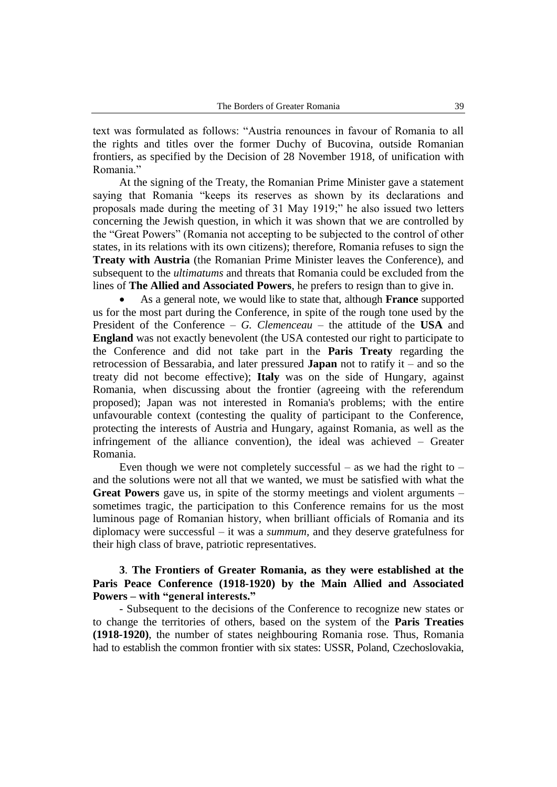text was formulated as follows: "Austria renounces in favour of Romania to all the rights and titles over the former Duchy of Bucovina, outside Romanian frontiers, as specified by the Decision of 28 November 1918, of unification with Romania."

At the signing of the Treaty, the Romanian Prime Minister gave a statement saying that Romania "keeps its reserves as shown by its declarations and proposals made during the meeting of 31 May 1919;" he also issued two letters concerning the Jewish question, in which it was shown that we are controlled by the "Great Powers" (Romania not accepting to be subjected to the control of other states, in its relations with its own citizens); therefore, Romania refuses to sign the **Treaty with Austria** (the Romanian Prime Minister leaves the Conference), and subsequent to the *ultimatums* and threats that Romania could be excluded from the lines of **The Allied and Associated Powers**, he prefers to resign than to give in.

 As a general note, we would like to state that, although **France** supported us for the most part during the Conference, in spite of the rough tone used by the President of the Conference – *G. Clemenceau* – the attitude of the **USA** and **England** was not exactly benevolent (the USA contested our right to participate to the Conference and did not take part in the **Paris Treaty** regarding the retrocession of Bessarabia, and later pressured **Japan** not to ratify it – and so the treaty did not become effective); **Italy** was on the side of Hungary, against Romania, when discussing about the frontier (agreeing with the referendum proposed); Japan was not interested in Romania's problems; with the entire unfavourable context (contesting the quality of participant to the Conference, protecting the interests of Austria and Hungary, against Romania, as well as the infringement of the alliance convention), the ideal was achieved – Greater Romania.

Even though we were not completely successful – as we had the right to – and the solutions were not all that we wanted, we must be satisfied with what the **Great Powers** gave us, in spite of the stormy meetings and violent arguments – sometimes tragic, the participation to this Conference remains for us the most luminous page of Romanian history, when brilliant officials of Romania and its diplomacy were successful – it was a *summum,* and they deserve gratefulness for their high class of brave, patriotic representatives.

## **3**. **The Frontiers of Greater Romania, as they were established at the Paris Peace Conference (1918-1920) by the Main Allied and Associated Powers – with "general interests."**

- Subsequent to the decisions of the Conference to recognize new states or to change the territories of others, based on the system of the **Paris Treaties (1918-1920)**, the number of states neighbouring Romania rose. Thus, Romania had to establish the common frontier with six states: USSR, Poland, Czechoslovakia,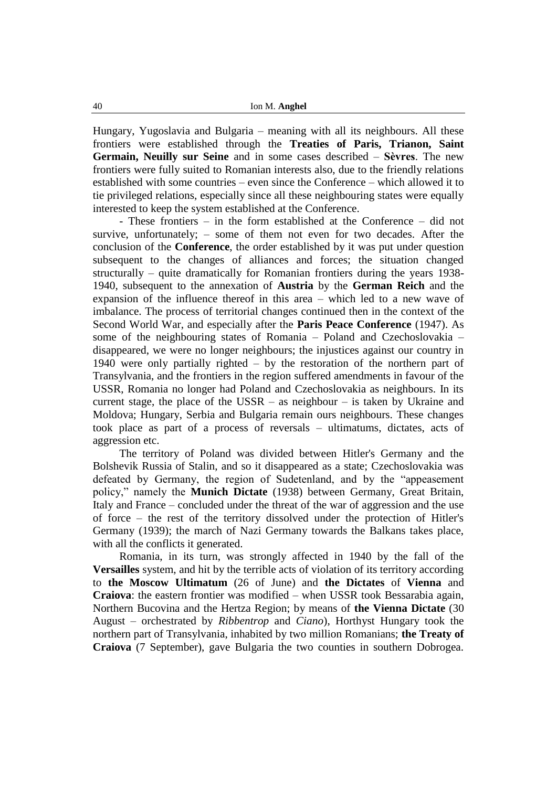Hungary, Yugoslavia and Bulgaria – meaning with all its neighbours. All these frontiers were established through the **Treaties of Paris, Trianon, Saint Germain, Neuilly sur Seine** and in some cases described – **Sèvres**. The new frontiers were fully suited to Romanian interests also, due to the friendly relations established with some countries – even since the Conference – which allowed it to tie privileged relations, especially since all these neighbouring states were equally interested to keep the system established at the Conference.

- These frontiers – in the form established at the Conference – did not survive, unfortunately; – some of them not even for two decades. After the conclusion of the **Conference**, the order established by it was put under question subsequent to the changes of alliances and forces; the situation changed structurally – quite dramatically for Romanian frontiers during the years 1938- 1940, subsequent to the annexation of **Austria** by the **German Reich** and the expansion of the influence thereof in this area – which led to a new wave of imbalance. The process of territorial changes continued then in the context of the Second World War, and especially after the **Paris Peace Conference** (1947). As some of the neighbouring states of Romania – Poland and Czechoslovakia – disappeared, we were no longer neighbours; the injustices against our country in 1940 were only partially righted – by the restoration of the northern part of Transylvania, and the frontiers in the region suffered amendments in favour of the USSR, Romania no longer had Poland and Czechoslovakia as neighbours. In its current stage, the place of the  $USSR - as$  neighbour – is taken by Ukraine and Moldova; Hungary, Serbia and Bulgaria remain ours neighbours. These changes took place as part of a process of reversals – ultimatums, dictates, acts of aggression etc.

The territory of Poland was divided between Hitler's Germany and the Bolshevik Russia of Stalin, and so it disappeared as a state; Czechoslovakia was defeated by Germany, the region of Sudetenland, and by the "appeasement policy," namely the **Munich Dictate** (1938) between Germany, Great Britain, Italy and France – concluded under the threat of the war of aggression and the use of force – the rest of the territory dissolved under the protection of Hitler's Germany (1939); the march of Nazi Germany towards the Balkans takes place, with all the conflicts it generated.

Romania, in its turn, was strongly affected in 1940 by the fall of the **Versailles** system, and hit by the terrible acts of violation of its territory according to **the Moscow Ultimatum** (26 of June) and **the Dictates** of **Vienna** and **Craiova**: the eastern frontier was modified – when USSR took Bessarabia again, Northern Bucovina and the Hertza Region; by means of **the Vienna Dictate** (30 August – orchestrated by *Ribbentrop* and *Ciano*), Horthyst Hungary took the northern part of Transylvania, inhabited by two million Romanians; **the Treaty of Craiova** (7 September), gave Bulgaria the two counties in southern Dobrogea.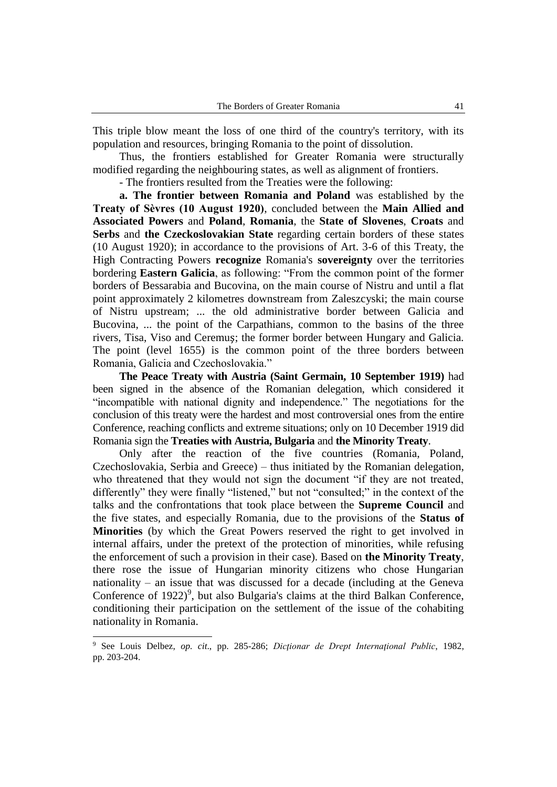This triple blow meant the loss of one third of the country's territory, with its population and resources, bringing Romania to the point of dissolution.

Thus, the frontiers established for Greater Romania were structurally modified regarding the neighbouring states, as well as alignment of frontiers.

- The frontiers resulted from the Treaties were the following:

**a. The frontier between Romania and Poland** was established by the **Treaty of Sèvres (10 August 1920)**, concluded between the **Main Allied and Associated Powers** and **Poland**, **Romania**, the **State of Slovenes**, **Croats** and **Serbs** and **the Czeckoslovakian State** regarding certain borders of these states (10 August 1920); in accordance to the provisions of Art. 3-6 of this Treaty, the High Contracting Powers **recognize** Romania's **sovereignty** over the territories bordering **Eastern Galicia**, as following: "From the common point of the former borders of Bessarabia and Bucovina, on the main course of Nistru and until a flat point approximately 2 kilometres downstream from Zaleszcyski; the main course of Nistru upstream; ... the old administrative border between Galicia and Bucovina, ... the point of the Carpathians, common to the basins of the three rivers, Tisa, Viso and Ceremuş; the former border between Hungary and Galicia. The point (level 1655) is the common point of the three borders between Romania, Galicia and Czechoslovakia."

**The Peace Treaty with Austria (Saint Germain, 10 September 1919)** had been signed in the absence of the Romanian delegation, which considered it "incompatible with national dignity and independence." The negotiations for the conclusion of this treaty were the hardest and most controversial ones from the entire Conference, reaching conflicts and extreme situations; only on 10 December 1919 did Romania sign the **Treaties with Austria, Bulgaria** and **the Minority Treaty**.

Only after the reaction of the five countries (Romania, Poland, Czechoslovakia, Serbia and Greece) – thus initiated by the Romanian delegation, who threatened that they would not sign the document "if they are not treated, differently" they were finally "listened," but not "consulted;" in the context of the talks and the confrontations that took place between the **Supreme Council** and the five states, and especially Romania, due to the provisions of the **Status of Minorities** (by which the Great Powers reserved the right to get involved in internal affairs, under the pretext of the protection of minorities, while refusing the enforcement of such a provision in their case). Based on **the Minority Treaty**, there rose the issue of Hungarian minority citizens who chose Hungarian nationality – an issue that was discussed for a decade (including at the Geneva Conference of  $1922$ <sup>9</sup>, but also Bulgaria's claims at the third Balkan Conference, conditioning their participation on the settlement of the issue of the cohabiting nationality in Romania.

<sup>9</sup> See Louis Delbez, *op. cit*., pp. 285-286; *Dicţionar de Drept Internaţional Public*, 1982, pp. 203-204.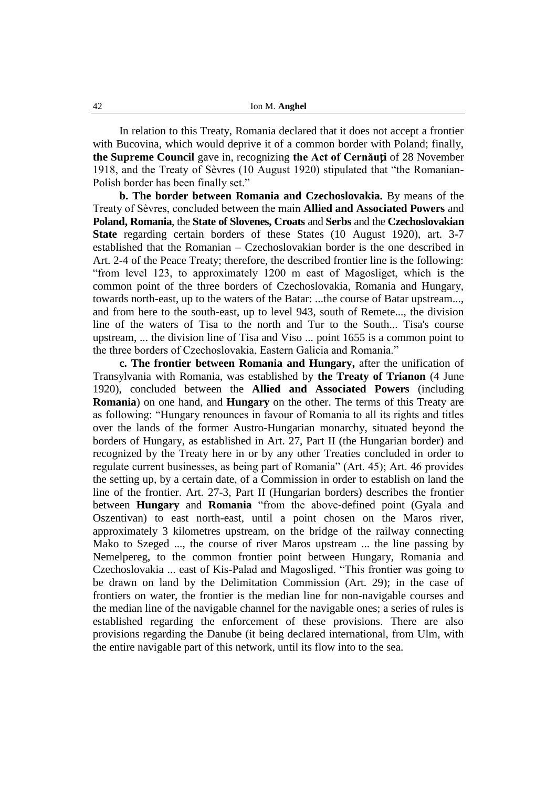In relation to this Treaty, Romania declared that it does not accept a frontier with Bucovina, which would deprive it of a common border with Poland; finally, **the Supreme Council** gave in, recognizing **the Act of Cernăuți** of 28 November 1918, and the Treaty of Sèvres (10 August 1920) stipulated that "the Romanian-Polish border has been finally set."

**b. The border between Romania and Czechoslovakia.** By means of the Treaty of Sèvres, concluded between the main **Allied and Associated Powers** and **Poland, Romania**, the **State of Slovenes, Croats** and **Serbs** and the **Czechoslovakian State** regarding certain borders of these States (10 August 1920), art. 3-7 established that the Romanian – Czechoslovakian border is the one described in Art. 2-4 of the Peace Treaty; therefore, the described frontier line is the following: "from level 123, to approximately 1200 m east of Magosliget, which is the common point of the three borders of Czechoslovakia, Romania and Hungary, towards north-east, up to the waters of the Batar: ...the course of Batar upstream..., and from here to the south-east, up to level 943, south of Remete..., the division line of the waters of Tisa to the north and Tur to the South... Tisa's course upstream, ... the division line of Tisa and Viso ... point 1655 is a common point to the three borders of Czechoslovakia, Eastern Galicia and Romania."

**c. The frontier between Romania and Hungary,** after the unification of Transylvania with Romania, was established by **the Treaty of Trianon** (4 June 1920), concluded between the **Allied and Associated Powers** (including **Romania**) on one hand, and **Hungary** on the other. The terms of this Treaty are as following: "Hungary renounces in favour of Romania to all its rights and titles over the lands of the former Austro-Hungarian monarchy, situated beyond the borders of Hungary, as established in Art. 27, Part II (the Hungarian border) and recognized by the Treaty here in or by any other Treaties concluded in order to regulate current businesses, as being part of Romania" (Art. 45); Art. 46 provides the setting up, by a certain date, of a Commission in order to establish on land the line of the frontier. Art. 27-3, Part II (Hungarian borders) describes the frontier between **Hungary** and **Romania** "from the above-defined point (Gyala and Oszentivan) to east north-east, until a point chosen on the Maros river, approximately 3 kilometres upstream, on the bridge of the railway connecting Mako to Szeged ..., the course of river Maros upstream ... the line passing by Nemelpereg, to the common frontier point between Hungary, Romania and Czechoslovakia ... east of Kis-Palad and Magosliged. "This frontier was going to be drawn on land by the Delimitation Commission (Art. 29); in the case of frontiers on water, the frontier is the median line for non-navigable courses and the median line of the navigable channel for the navigable ones; a series of rules is established regarding the enforcement of these provisions. There are also provisions regarding the Danube (it being declared international, from Ulm, with the entire navigable part of this network, until its flow into to the sea.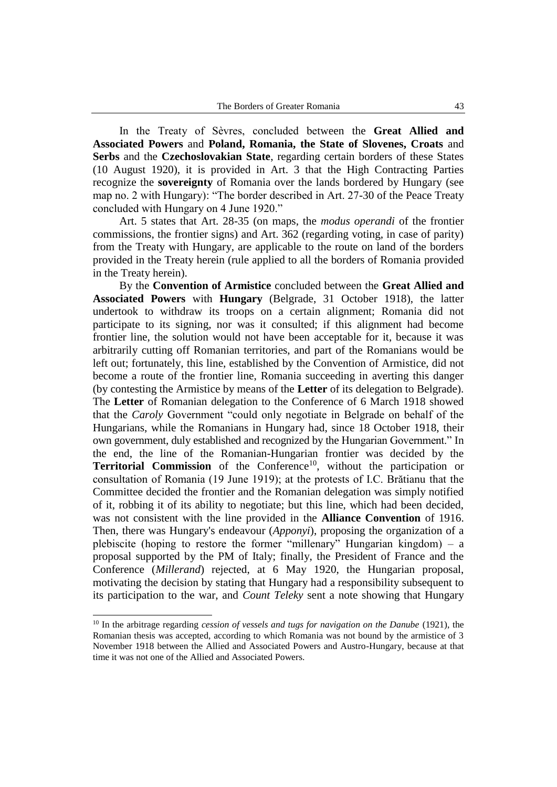In the Treaty of Sèvres, concluded between the **Great Allied and Associated Powers** and **Poland, Romania, the State of Slovenes, Croats** and **Serbs** and the **Czechoslovakian State**, regarding certain borders of these States (10 August 1920), it is provided in Art. 3 that the High Contracting Parties recognize the **sovereignty** of Romania over the lands bordered by Hungary (see map no. 2 with Hungary): "The border described in Art. 27-30 of the Peace Treaty concluded with Hungary on 4 June 1920."

Art. 5 states that Art. 28-35 (on maps, the *modus operandi* of the frontier commissions, the frontier signs) and Art. 362 (regarding voting, in case of parity) from the Treaty with Hungary, are applicable to the route on land of the borders provided in the Treaty herein (rule applied to all the borders of Romania provided in the Treaty herein).

By the **Convention of Armistice** concluded between the **Great Allied and Associated Powers** with **Hungary** (Belgrade, 31 October 1918), the latter undertook to withdraw its troops on a certain alignment; Romania did not participate to its signing, nor was it consulted; if this alignment had become frontier line, the solution would not have been acceptable for it, because it was arbitrarily cutting off Romanian territories, and part of the Romanians would be left out; fortunately, this line, established by the Convention of Armistice, did not become a route of the frontier line, Romania succeeding in averting this danger (by contesting the Armistice by means of the **Letter** of its delegation to Belgrade). The **Letter** of Romanian delegation to the Conference of 6 March 1918 showed that the *Caroly* Government "could only negotiate in Belgrade on behalf of the Hungarians, while the Romanians in Hungary had, since 18 October 1918, their own government, duly established and recognized by the Hungarian Government." In the end, the line of the Romanian-Hungarian frontier was decided by the **Territorial Commission** of the Conference<sup>10</sup>, without the participation or consultation of Romania (19 June 1919); at the protests of I.C. Brătianu that the Committee decided the frontier and the Romanian delegation was simply notified of it, robbing it of its ability to negotiate; but this line, which had been decided, was not consistent with the line provided in the **Alliance Convention** of 1916. Then, there was Hungary's endeavour (*Apponyi*), proposing the organization of a plebiscite (hoping to restore the former "millenary" Hungarian kingdom) – a proposal supported by the PM of Italy; finally, the President of France and the Conference (*Millerand*) rejected, at 6 May 1920, the Hungarian proposal, motivating the decision by stating that Hungary had a responsibility subsequent to its participation to the war, and *Count Teleky* sent a note showing that Hungary

-

<sup>10</sup> In the arbitrage regarding *cession of vessels and tugs for navigation on the Danube* (1921), the Romanian thesis was accepted, according to which Romania was not bound by the armistice of 3 November 1918 between the Allied and Associated Powers and Austro-Hungary, because at that time it was not one of the Allied and Associated Powers.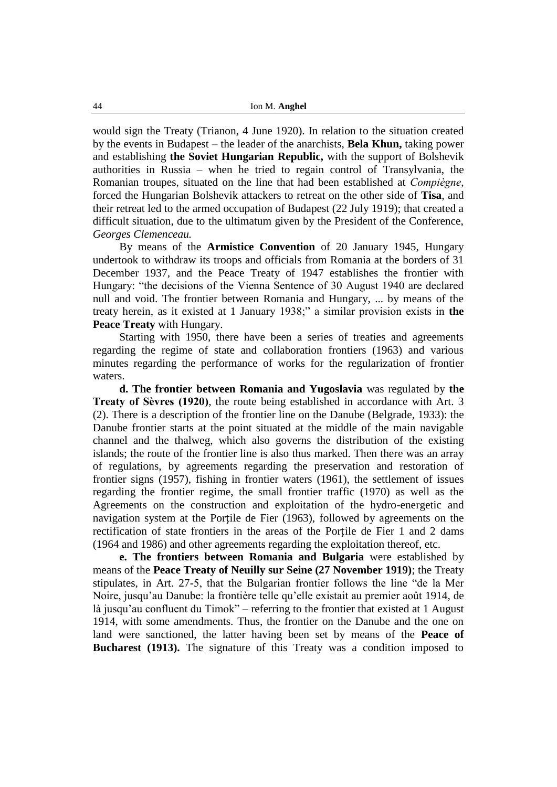would sign the Treaty (Trianon, 4 June 1920). In relation to the situation created by the events in Budapest – the leader of the anarchists, **Bela Khun,** taking power and establishing **the Soviet Hungarian Republic,** with the support of Bolshevik authorities in Russia – when he tried to regain control of Transylvania, the Romanian troupes, situated on the line that had been established at *Compiègne*, forced the Hungarian Bolshevik attackers to retreat on the other side of **Tisa**, and their retreat led to the armed occupation of Budapest (22 July 1919); that created a difficult situation, due to the ultimatum given by the President of the Conference, *Georges Clemenceau.*

By means of the **Armistice Convention** of 20 January 1945, Hungary undertook to withdraw its troops and officials from Romania at the borders of 31 December 1937, and the Peace Treaty of 1947 establishes the frontier with Hungary: "the decisions of the Vienna Sentence of 30 August 1940 are declared null and void. The frontier between Romania and Hungary, ... by means of the treaty herein, as it existed at 1 January 1938;" a similar provision exists in **the Peace Treaty** with Hungary.

Starting with 1950, there have been a series of treaties and agreements regarding the regime of state and collaboration frontiers (1963) and various minutes regarding the performance of works for the regularization of frontier waters.

**d. The frontier between Romania and Yugoslavia** was regulated by **the Treaty of Sèvres (1920)**, the route being established in accordance with Art. 3 (2). There is a description of the frontier line on the Danube (Belgrade, 1933): the Danube frontier starts at the point situated at the middle of the main navigable channel and the thalweg, which also governs the distribution of the existing islands; the route of the frontier line is also thus marked. Then there was an array of regulations, by agreements regarding the preservation and restoration of frontier signs (1957), fishing in frontier waters (1961), the settlement of issues regarding the frontier regime, the small frontier traffic (1970) as well as the Agreements on the construction and exploitation of the hydro-energetic and navigation system at the Portile de Fier (1963), followed by agreements on the rectification of state frontiers in the areas of the Portile de Fier 1 and 2 dams (1964 and 1986) and other agreements regarding the exploitation thereof, etc.

**e. The frontiers between Romania and Bulgaria** were established by means of the **Peace Treaty of Neuilly sur Seine (27 November 1919)**; the Treaty stipulates, in Art. 27-5, that the Bulgarian frontier follows the line "de la Mer Noire, jusqu'au Danube: la frontière telle qu'elle existait au premier août 1914, de là jusqu'au confluent du Timok" – referring to the frontier that existed at 1 August 1914, with some amendments. Thus, the frontier on the Danube and the one on land were sanctioned, the latter having been set by means of the **Peace of Bucharest (1913).** The signature of this Treaty was a condition imposed to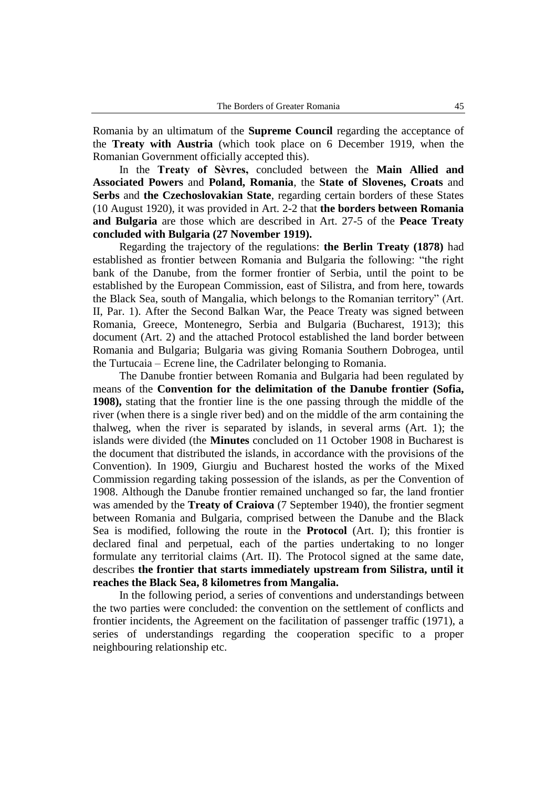Romania by an ultimatum of the **Supreme Council** regarding the acceptance of the **Treaty with Austria** (which took place on 6 December 1919, when the Romanian Government officially accepted this).

In the **Treaty of Sèvres,** concluded between the **Main Allied and Associated Powers** and **Poland, Romania**, the **State of Slovenes, Croats** and **Serbs** and **the Czechoslovakian State**, regarding certain borders of these States (10 August 1920), it was provided in Art. 2-2 that **the borders between Romania and Bulgaria** are those which are described in Art. 27-5 of the **Peace Treaty concluded with Bulgaria (27 November 1919).**

Regarding the trajectory of the regulations: **the Berlin Treaty (1878)** had established as frontier between Romania and Bulgaria the following: "the right bank of the Danube, from the former frontier of Serbia, until the point to be established by the European Commission, east of Silistra, and from here, towards the Black Sea, south of Mangalia, which belongs to the Romanian territory" (Art. II, Par. 1). After the Second Balkan War, the Peace Treaty was signed between Romania, Greece, Montenegro, Serbia and Bulgaria (Bucharest, 1913); this document (Art. 2) and the attached Protocol established the land border between Romania and Bulgaria; Bulgaria was giving Romania Southern Dobrogea, until the Turtucaia – Ecrene line, the Cadrilater belonging to Romania.

The Danube frontier between Romania and Bulgaria had been regulated by means of the **Convention for the delimitation of the Danube frontier (Sofia, 1908),** stating that the frontier line is the one passing through the middle of the river (when there is a single river bed) and on the middle of the arm containing the thalweg, when the river is separated by islands, in several arms (Art. 1); the islands were divided (the **Minutes** concluded on 11 October 1908 in Bucharest is the document that distributed the islands, in accordance with the provisions of the Convention). In 1909, Giurgiu and Bucharest hosted the works of the Mixed Commission regarding taking possession of the islands, as per the Convention of 1908. Although the Danube frontier remained unchanged so far, the land frontier was amended by the **Treaty of Craiova** (7 September 1940), the frontier segment between Romania and Bulgaria, comprised between the Danube and the Black Sea is modified, following the route in the **Protocol** (Art. I); this frontier is declared final and perpetual, each of the parties undertaking to no longer formulate any territorial claims (Art. II). The Protocol signed at the same date, describes **the frontier that starts immediately upstream from Silistra, until it reaches the Black Sea, 8 kilometres from Mangalia.** 

In the following period, a series of conventions and understandings between the two parties were concluded: the convention on the settlement of conflicts and frontier incidents, the Agreement on the facilitation of passenger traffic (1971), a series of understandings regarding the cooperation specific to a proper neighbouring relationship etc.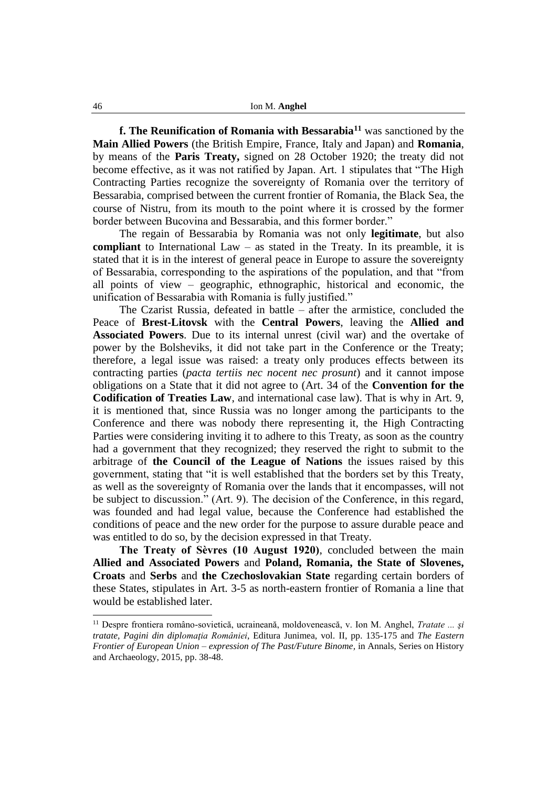**f. The Reunification of Romania with Bessarabia<sup>11</sup>** was sanctioned by the **Main Allied Powers** (the British Empire, France, Italy and Japan) and **Romania**, by means of the **Paris Treaty,** signed on 28 October 1920; the treaty did not become effective, as it was not ratified by Japan. Art. 1 stipulates that "The High Contracting Parties recognize the sovereignty of Romania over the territory of Bessarabia, comprised between the current frontier of Romania, the Black Sea, the course of Nistru, from its mouth to the point where it is crossed by the former border between Bucovina and Bessarabia, and this former border."

The regain of Bessarabia by Romania was not only **legitimate**, but also **compliant** to International Law – as stated in the Treaty. In its preamble, it is stated that it is in the interest of general peace in Europe to assure the sovereignty of Bessarabia, corresponding to the aspirations of the population, and that "from all points of view – geographic, ethnographic, historical and economic, the unification of Bessarabia with Romania is fully justified."

The Czarist Russia, defeated in battle – after the armistice, concluded the Peace of **Brest-Litovsk** with the **Central Powers**, leaving the **Allied and Associated Powers**. Due to its internal unrest (civil war) and the overtake of power by the Bolsheviks, it did not take part in the Conference or the Treaty; therefore, a legal issue was raised: a treaty only produces effects between its contracting parties (*pacta tertiis nec nocent nec prosunt*) and it cannot impose obligations on a State that it did not agree to (Art. 34 of the **Convention for the Codification of Treaties Law**, and international case law). That is why in Art. 9, it is mentioned that, since Russia was no longer among the participants to the Conference and there was nobody there representing it, the High Contracting Parties were considering inviting it to adhere to this Treaty, as soon as the country had a government that they recognized; they reserved the right to submit to the arbitrage of **the Council of the League of Nations** the issues raised by this government, stating that "it is well established that the borders set by this Treaty, as well as the sovereignty of Romania over the lands that it encompasses, will not be subject to discussion." (Art. 9). The decision of the Conference, in this regard, was founded and had legal value, because the Conference had established the conditions of peace and the new order for the purpose to assure durable peace and was entitled to do so, by the decision expressed in that Treaty.

**The Treaty of Sèvres (10 August 1920)**, concluded between the main **Allied and Associated Powers** and **Poland, Romania, the State of Slovenes, Croats** and **Serbs** and **the Czechoslovakian State** regarding certain borders of these States, stipulates in Art. 3-5 as north-eastern frontier of Romania a line that would be established later.

-

<sup>11</sup> Despre frontiera româno-sovietică, ucraineană, moldovenească, v. Ion M. Anghel, *Tratate ... şi tratate, Pagini din diplomaţia României*, Editura Junimea, vol. II, pp. 135-175 and *The Eastern Frontier of European Union – expression of The Past/Future Binome,* in Annals, Series on History and Archaeology, 2015, pp. 38-48.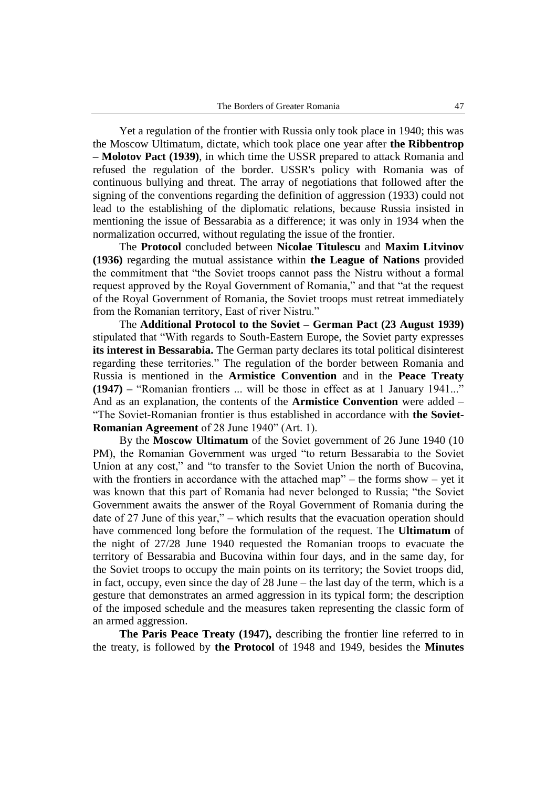Yet a regulation of the frontier with Russia only took place in 1940; this was the Moscow Ultimatum, dictate, which took place one year after **the Ribbentrop – Molotov Pact (1939)**, in which time the USSR prepared to attack Romania and refused the regulation of the border. USSR's policy with Romania was of continuous bullying and threat. The array of negotiations that followed after the signing of the conventions regarding the definition of aggression (1933) could not lead to the establishing of the diplomatic relations, because Russia insisted in mentioning the issue of Bessarabia as a difference; it was only in 1934 when the normalization occurred, without regulating the issue of the frontier.

The **Protocol** concluded between **Nicolae Titulescu** and **Maxim Litvinov (1936)** regarding the mutual assistance within **the League of Nations** provided the commitment that "the Soviet troops cannot pass the Nistru without a formal request approved by the Royal Government of Romania," and that "at the request of the Royal Government of Romania, the Soviet troops must retreat immediately from the Romanian territory, East of river Nistru."

The **Additional Protocol to the Soviet – German Pact (23 August 1939)**  stipulated that "With regards to South-Eastern Europe, the Soviet party expresses **its interest in Bessarabia.** The German party declares its total political disinterest regarding these territories." The regulation of the border between Romania and Russia is mentioned in the **Armistice Convention** and in the **Peace Treaty (1947) –** "Romanian frontiers ... will be those in effect as at 1 January 1941..." And as an explanation, the contents of the **Armistice Convention** were added – "The Soviet-Romanian frontier is thus established in accordance with **the Soviet-Romanian Agreement** of 28 June 1940" (Art. 1).

By the **Moscow Ultimatum** of the Soviet government of 26 June 1940 (10 PM), the Romanian Government was urged "to return Bessarabia to the Soviet Union at any cost," and "to transfer to the Soviet Union the north of Bucovina, with the frontiers in accordance with the attached map" – the forms show – yet it was known that this part of Romania had never belonged to Russia; "the Soviet Government awaits the answer of the Royal Government of Romania during the date of 27 June of this year," – which results that the evacuation operation should have commenced long before the formulation of the request. The **Ultimatum** of the night of 27/28 June 1940 requested the Romanian troops to evacuate the territory of Bessarabia and Bucovina within four days, and in the same day, for the Soviet troops to occupy the main points on its territory; the Soviet troops did, in fact, occupy, even since the day of 28 June – the last day of the term, which is a gesture that demonstrates an armed aggression in its typical form; the description of the imposed schedule and the measures taken representing the classic form of an armed aggression.

**The Paris Peace Treaty (1947),** describing the frontier line referred to in the treaty, is followed by **the Protocol** of 1948 and 1949, besides the **Minutes**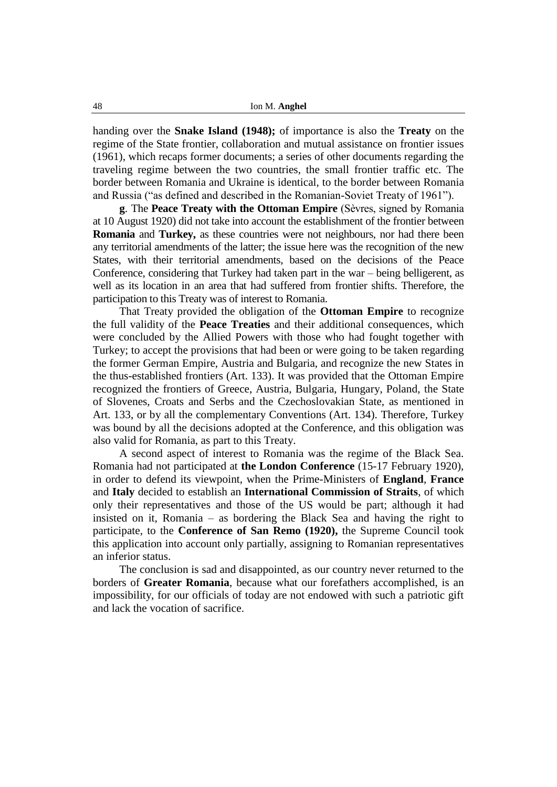handing over the **Snake Island (1948);** of importance is also the **Treaty** on the regime of the State frontier, collaboration and mutual assistance on frontier issues (1961), which recaps former documents; a series of other documents regarding the traveling regime between the two countries, the small frontier traffic etc. The border between Romania and Ukraine is identical, to the border between Romania and Russia ("as defined and described in the Romanian-Soviet Treaty of 1961").

**g**. The **Peace Treaty with the Ottoman Empire** (Sèvres, signed by Romania at 10 August 1920) did not take into account the establishment of the frontier between **Romania** and **Turkey,** as these countries were not neighbours, nor had there been any territorial amendments of the latter; the issue here was the recognition of the new States, with their territorial amendments, based on the decisions of the Peace Conference, considering that Turkey had taken part in the war – being belligerent, as well as its location in an area that had suffered from frontier shifts. Therefore, the participation to this Treaty was of interest to Romania.

That Treaty provided the obligation of the **Ottoman Empire** to recognize the full validity of the **Peace Treaties** and their additional consequences, which were concluded by the Allied Powers with those who had fought together with Turkey; to accept the provisions that had been or were going to be taken regarding the former German Empire, Austria and Bulgaria, and recognize the new States in the thus-established frontiers (Art. 133). It was provided that the Ottoman Empire recognized the frontiers of Greece, Austria, Bulgaria, Hungary, Poland, the State of Slovenes, Croats and Serbs and the Czechoslovakian State, as mentioned in Art. 133, or by all the complementary Conventions (Art. 134). Therefore, Turkey was bound by all the decisions adopted at the Conference, and this obligation was also valid for Romania, as part to this Treaty.

A second aspect of interest to Romania was the regime of the Black Sea. Romania had not participated at **the London Conference** (15-17 February 1920), in order to defend its viewpoint, when the Prime-Ministers of **England**, **France** and **Italy** decided to establish an **International Commission of Straits**, of which only their representatives and those of the US would be part; although it had insisted on it, Romania – as bordering the Black Sea and having the right to participate, to the **Conference of San Remo (1920),** the Supreme Council took this application into account only partially, assigning to Romanian representatives an inferior status.

The conclusion is sad and disappointed, as our country never returned to the borders of **Greater Romania**, because what our forefathers accomplished, is an impossibility, for our officials of today are not endowed with such a patriotic gift and lack the vocation of sacrifice.